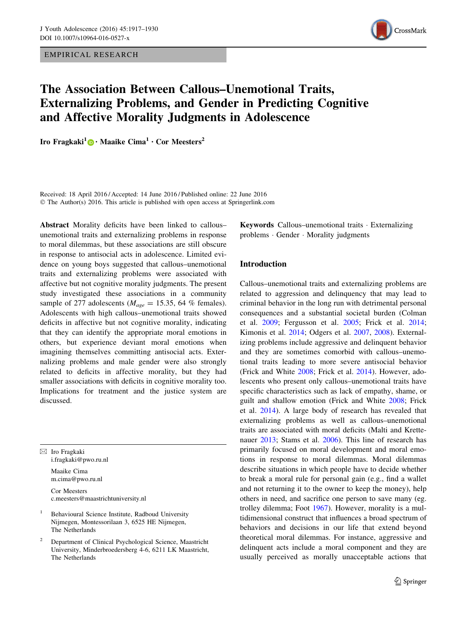EMPIRICAL RESEARCH



# The Association Between Callous–Unemotional Traits, Externalizing Problems, and Gender in Predicting Cognitive and Affective Morality Judgments in Adolescence

Iro Fragkaki<sup>1</sup> <sup>o</sup> · Maaike Cima<sup>1</sup> · Cor Meesters<sup>2</sup>

Received: 18 April 2016 / Accepted: 14 June 2016 / Published online: 22 June 2016 © The Author(s) 2016. This article is published with open access at Springerlink.com

Abstract Morality deficits have been linked to callous– unemotional traits and externalizing problems in response to moral dilemmas, but these associations are still obscure in response to antisocial acts in adolescence. Limited evidence on young boys suggested that callous–unemotional traits and externalizing problems were associated with affective but not cognitive morality judgments. The present study investigated these associations in a community sample of 277 adolescents ( $M_{age} = 15.35$ , 64 % females). Adolescents with high callous–unemotional traits showed deficits in affective but not cognitive morality, indicating that they can identify the appropriate moral emotions in others, but experience deviant moral emotions when imagining themselves committing antisocial acts. Externalizing problems and male gender were also strongly related to deficits in affective morality, but they had smaller associations with deficits in cognitive morality too. Implications for treatment and the justice system are discussed.

 $\boxtimes$  Iro Fragkaki i.fragkaki@pwo.ru.nl

> Maaike Cima m.cima@pwo.ru.nl

Cor Meesters c.meesters@maastrichtuniversity.nl

- <sup>1</sup> Behavioural Science Institute, Radboud University Nijmegen, Montessorilaan 3, 6525 HE Nijmegen, The Netherlands
- <sup>2</sup> Department of Clinical Psychological Science, Maastricht University, Minderbroedersberg 4-6, 6211 LK Maastricht, The Netherlands

Keywords Callous–unemotional traits - Externalizing problems - Gender - Morality judgments

# Introduction

Callous–unemotional traits and externalizing problems are related to aggression and delinquency that may lead to criminal behavior in the long run with detrimental personal consequences and a substantial societal burden (Colman et al. [2009](#page-12-0); Fergusson et al. [2005;](#page-12-0) Frick et al. [2014](#page-12-0); Kimonis et al. [2014](#page-12-0); Odgers et al. [2007](#page-13-0), [2008](#page-13-0)). Externalizing problems include aggressive and delinquent behavior and they are sometimes comorbid with callous–unemotional traits leading to more severe antisocial behavior (Frick and White [2008;](#page-12-0) Frick et al. [2014\)](#page-12-0). However, adolescents who present only callous–unemotional traits have specific characteristics such as lack of empathy, shame, or guilt and shallow emotion (Frick and White [2008](#page-12-0); Frick et al. [2014\)](#page-12-0). A large body of research has revealed that externalizing problems as well as callous–unemotional traits are associated with moral deficits (Malti and Krettenauer [2013](#page-13-0); Stams et al. [2006\)](#page-13-0). This line of research has primarily focused on moral development and moral emotions in response to moral dilemmas. Moral dilemmas describe situations in which people have to decide whether to break a moral rule for personal gain (e.g., find a wallet and not returning it to the owner to keep the money), help others in need, and sacrifice one person to save many (eg. trolley dilemma; Foot [1967\)](#page-12-0). However, morality is a multidimensional construct that influences a broad spectrum of behaviors and decisions in our life that extend beyond theoretical moral dilemmas. For instance, aggressive and delinquent acts include a moral component and they are usually perceived as morally unacceptable actions that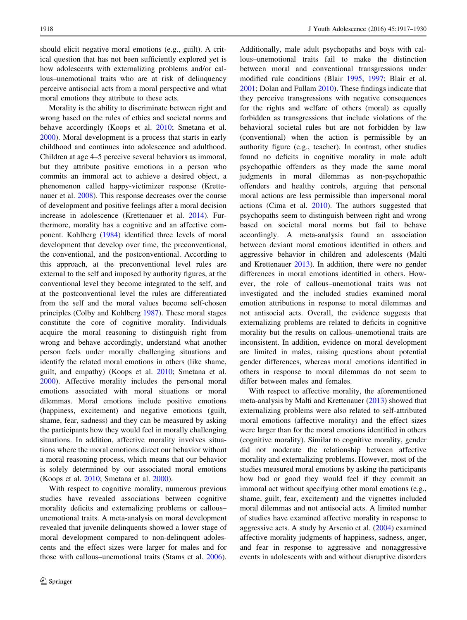should elicit negative moral emotions (e.g., guilt). A critical question that has not been sufficiently explored yet is how adolescents with externalizing problems and/or callous–unemotional traits who are at risk of delinquency perceive antisocial acts from a moral perspective and what moral emotions they attribute to these acts.

Morality is the ability to discriminate between right and wrong based on the rules of ethics and societal norms and behave accordingly (Koops et al. [2010](#page-13-0); Smetana et al. [2000\)](#page-13-0). Moral development is a process that starts in early childhood and continues into adolescence and adulthood. Children at age 4–5 perceive several behaviors as immoral, but they attribute positive emotions in a person who commits an immoral act to achieve a desired object, a phenomenon called happy-victimizer response (Krettenauer et al. [2008\)](#page-13-0). This response decreases over the course of development and positive feelings after a moral decision increase in adolescence (Krettenauer et al. [2014\)](#page-13-0). Furthermore, morality has a cognitive and an affective component. Kohlberg ([1984\)](#page-13-0) identified three levels of moral development that develop over time, the preconventional, the conventional, and the postconventional. According to this approach, at the preconventional level rules are external to the self and imposed by authority figures, at the conventional level they become integrated to the self, and at the postconventional level the rules are differentiated from the self and the moral values become self-chosen principles (Colby and Kohlberg [1987\)](#page-12-0). These moral stages constitute the core of cognitive morality. Individuals acquire the moral reasoning to distinguish right from wrong and behave accordingly, understand what another person feels under morally challenging situations and identify the related moral emotions in others (like shame, guilt, and empathy) (Koops et al. [2010](#page-13-0); Smetana et al. [2000\)](#page-13-0). Affective morality includes the personal moral emotions associated with moral situations or moral dilemmas. Moral emotions include positive emotions (happiness, excitement) and negative emotions (guilt, shame, fear, sadness) and they can be measured by asking the participants how they would feel in morally challenging situations. In addition, affective morality involves situations where the moral emotions direct our behavior without a moral reasoning process, which means that our behavior is solely determined by our associated moral emotions (Koops et al. [2010](#page-13-0); Smetana et al. [2000\)](#page-13-0).

With respect to cognitive morality, numerous previous studies have revealed associations between cognitive morality deficits and externalizing problems or callous– unemotional traits. A meta-analysis on moral development revealed that juvenile delinquents showed a lower stage of moral development compared to non-delinquent adolescents and the effect sizes were larger for males and for those with callous–unemotional traits (Stams et al. [2006](#page-13-0)).

Additionally, male adult psychopaths and boys with callous–unemotional traits fail to make the distinction between moral and conventional transgressions under modified rule conditions (Blair [1995](#page-11-0), [1997](#page-11-0); Blair et al. [2001](#page-11-0); Dolan and Fullam [2010\)](#page-12-0). These findings indicate that they perceive transgressions with negative consequences for the rights and welfare of others (moral) as equally forbidden as transgressions that include violations of the behavioral societal rules but are not forbidden by law (conventional) when the action is permissible by an authority figure (e.g., teacher). In contrast, other studies found no deficits in cognitive morality in male adult psychopathic offenders as they made the same moral judgments in moral dilemmas as non-psychopathic offenders and healthy controls, arguing that personal moral actions are less permissible than impersonal moral actions (Cima et al. [2010\)](#page-12-0). The authors suggested that psychopaths seem to distinguish between right and wrong based on societal moral norms but fail to behave accordingly. A meta-analysis found an association between deviant moral emotions identified in others and aggressive behavior in children and adolescents (Malti and Krettenauer [2013](#page-13-0)). In addition, there were no gender differences in moral emotions identified in others. However, the role of callous–unemotional traits was not investigated and the included studies examined moral emotion attributions in response to moral dilemmas and not antisocial acts. Overall, the evidence suggests that externalizing problems are related to deficits in cognitive morality but the results on callous–unemotional traits are inconsistent. In addition, evidence on moral development are limited in males, raising questions about potential gender differences, whereas moral emotions identified in others in response to moral dilemmas do not seem to differ between males and females.

With respect to affective morality, the aforementioned meta-analysis by Malti and Krettenauer [\(2013](#page-13-0)) showed that externalizing problems were also related to self-attributed moral emotions (affective morality) and the effect sizes were larger than for the moral emotions identified in others (cognitive morality). Similar to cognitive morality, gender did not moderate the relationship between affective morality and externalizing problems. However, most of the studies measured moral emotions by asking the participants how bad or good they would feel if they commit an immoral act without specifying other moral emotions (e.g., shame, guilt, fear, excitement) and the vignettes included moral dilemmas and not antisocial acts. A limited number of studies have examined affective morality in response to aggressive acts. A study by Arsenio et al. [\(2004](#page-11-0)) examined affective morality judgments of happiness, sadness, anger, and fear in response to aggressive and nonaggressive events in adolescents with and without disruptive disorders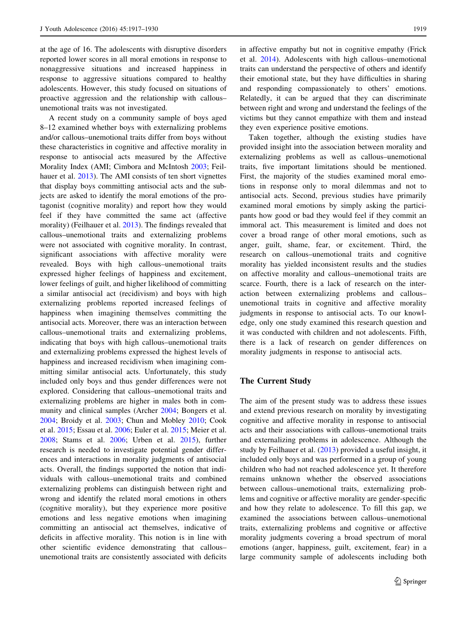at the age of 16. The adolescents with disruptive disorders reported lower scores in all moral emotions in response to nonaggressive situations and increased happiness in response to aggressive situations compared to healthy adolescents. However, this study focused on situations of proactive aggression and the relationship with callous– unemotional traits was not investigated.

A recent study on a community sample of boys aged 8–12 examined whether boys with externalizing problems and/or callous–unemotional traits differ from boys without these characteristics in cognitive and affective morality in response to antisocial acts measured by the Affective Morality Index (AMI; Cimbora and McIntosh [2003;](#page-12-0) Feilhauer et al. [2013](#page-12-0)). The AMI consists of ten short vignettes that display boys committing antisocial acts and the subjects are asked to identify the moral emotions of the protagonist (cognitive morality) and report how they would feel if they have committed the same act (affective morality) (Feilhauer et al. [2013\)](#page-12-0). The findings revealed that callous–unemotional traits and externalizing problems were not associated with cognitive morality. In contrast, significant associations with affective morality were revealed. Boys with high callous–unemotional traits expressed higher feelings of happiness and excitement, lower feelings of guilt, and higher likelihood of committing a similar antisocial act (recidivism) and boys with high externalizing problems reported increased feelings of happiness when imagining themselves committing the antisocial acts. Moreover, there was an interaction between callous–unemotional traits and externalizing problems, indicating that boys with high callous–unemotional traits and externalizing problems expressed the highest levels of happiness and increased recidivism when imagining committing similar antisocial acts. Unfortunately, this study included only boys and thus gender differences were not explored. Considering that callous–unemotional traits and externalizing problems are higher in males both in community and clinical samples (Archer [2004](#page-11-0); Bongers et al. [2004;](#page-12-0) Broidy et al. [2003;](#page-12-0) Chun and Mobley [2010;](#page-12-0) Cook et al. [2015](#page-12-0); Essau et al. [2006](#page-12-0); Euler et al. [2015;](#page-12-0) Meier et al. [2008;](#page-13-0) Stams et al. [2006](#page-13-0); Urben et al. [2015\)](#page-13-0), further research is needed to investigate potential gender differences and interactions in morality judgments of antisocial acts. Overall, the findings supported the notion that individuals with callous–unemotional traits and combined externalizing problems can distinguish between right and wrong and identify the related moral emotions in others (cognitive morality), but they experience more positive emotions and less negative emotions when imagining committing an antisocial act themselves, indicative of deficits in affective morality. This notion is in line with other scientific evidence demonstrating that callous– unemotional traits are consistently associated with deficits in affective empathy but not in cognitive empathy (Frick et al. [2014](#page-12-0)). Adolescents with high callous–unemotional traits can understand the perspective of others and identify their emotional state, but they have difficulties in sharing and responding compassionately to others' emotions. Relatedly, it can be argued that they can discriminate between right and wrong and understand the feelings of the victims but they cannot empathize with them and instead they even experience positive emotions.

Taken together, although the existing studies have provided insight into the association between morality and externalizing problems as well as callous–unemotional traits, five important limitations should be mentioned. First, the majority of the studies examined moral emotions in response only to moral dilemmas and not to antisocial acts. Second, previous studies have primarily examined moral emotions by simply asking the participants how good or bad they would feel if they commit an immoral act. This measurement is limited and does not cover a broad range of other moral emotions, such as anger, guilt, shame, fear, or excitement. Third, the research on callous–unemotional traits and cognitive morality has yielded inconsistent results and the studies on affective morality and callous–unemotional traits are scarce. Fourth, there is a lack of research on the interaction between externalizing problems and callous– unemotional traits in cognitive and affective morality judgments in response to antisocial acts. To our knowledge, only one study examined this research question and it was conducted with children and not adolescents. Fifth, there is a lack of research on gender differences on morality judgments in response to antisocial acts.

## The Current Study

The aim of the present study was to address these issues and extend previous research on morality by investigating cognitive and affective morality in response to antisocial acts and their associations with callous–unemotional traits and externalizing problems in adolescence. Although the study by Feilhauer et al. ([2013\)](#page-12-0) provided a useful insight, it included only boys and was performed in a group of young children who had not reached adolescence yet. It therefore remains unknown whether the observed associations between callous–unemotional traits, externalizing problems and cognitive or affective morality are gender-specific and how they relate to adolescence. To fill this gap, we examined the associations between callous–unemotional traits, externalizing problems and cognitive or affective morality judgments covering a broad spectrum of moral emotions (anger, happiness, guilt, excitement, fear) in a large community sample of adolescents including both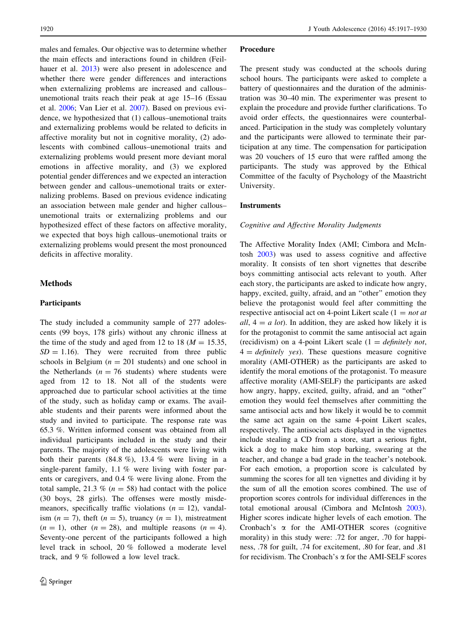males and females. Our objective was to determine whether the main effects and interactions found in children (Feilhauer et al. [2013\)](#page-12-0) were also present in adolescence and whether there were gender differences and interactions when externalizing problems are increased and callous– unemotional traits reach their peak at age 15–16 (Essau et al. [2006;](#page-12-0) Van Lier et al. [2007](#page-13-0)). Based on previous evidence, we hypothesized that (1) callous–unemotional traits and externalizing problems would be related to deficits in affective morality but not in cognitive morality, (2) adolescents with combined callous–unemotional traits and externalizing problems would present more deviant moral emotions in affective morality, and (3) we explored potential gender differences and we expected an interaction between gender and callous–unemotional traits or externalizing problems. Based on previous evidence indicating an association between male gender and higher callous– unemotional traits or externalizing problems and our hypothesized effect of these factors on affective morality, we expected that boys high callous–unemotional traits or externalizing problems would present the most pronounced deficits in affective morality.

# **Methods**

# Participants

The study included a community sample of 277 adolescents (99 boys, 178 girls) without any chronic illness at the time of the study and aged from 12 to 18 ( $M = 15.35$ ,  $SD = 1.16$ . They were recruited from three public schools in Belgium ( $n = 201$  students) and one school in the Netherlands ( $n = 76$  students) where students were aged from 12 to 18. Not all of the students were approached due to particular school activities at the time of the study, such as holiday camp or exams. The available students and their parents were informed about the study and invited to participate. The response rate was 65.3 %. Written informed consent was obtained from all individual participants included in the study and their parents. The majority of the adolescents were living with both their parents  $(84.8\%)$ , 13.4 % were living in a single-parent family, 1.1 % were living with foster parents or caregivers, and 0.4 % were living alone. From the total sample, 21.3 % ( $n = 58$ ) had contact with the police (30 boys, 28 girls). The offenses were mostly misdemeanors, specifically traffic violations  $(n = 12)$ , vandalism  $(n = 7)$ , theft  $(n = 5)$ , truancy  $(n = 1)$ , mistreatment  $(n = 1)$ , other  $(n = 28)$ , and multiple reasons  $(n = 4)$ . Seventy-one percent of the participants followed a high level track in school, 20 % followed a moderate level track, and 9 % followed a low level track.

#### Procedure

The present study was conducted at the schools during school hours. The participants were asked to complete a battery of questionnaires and the duration of the administration was 30–40 min. The experimenter was present to explain the procedure and provide further clarifications. To avoid order effects, the questionnaires were counterbalanced. Participation in the study was completely voluntary and the participants were allowed to terminate their participation at any time. The compensation for participation was 20 vouchers of 15 euro that were raffled among the participants. The study was approved by the Ethical Committee of the faculty of Psychology of the Maastricht University.

## Instruments

#### Cognitive and Affective Morality Judgments

The Affective Morality Index (AMI; Cimbora and McIntosh [2003](#page-12-0)) was used to assess cognitive and affective morality. It consists of ten short vignettes that describe boys committing antisocial acts relevant to youth. After each story, the participants are asked to indicate how angry, happy, excited, guilty, afraid, and an "other" emotion they believe the protagonist would feel after committing the respective antisocial act on 4-point Likert scale  $(1 = not at$ all,  $4 = a$  lot). In addition, they are asked how likely it is for the protagonist to commit the same antisocial act again (recidivism) on a 4-point Likert scale  $(1 = \text{definitely not},$  $4 =$  definitely yes). These questions measure cognitive morality (AMI-OTHER) as the participants are asked to identify the moral emotions of the protagonist. To measure affective morality (AMI-SELF) the participants are asked how angry, happy, excited, guilty, afraid, and an ''other'' emotion they would feel themselves after committing the same antisocial acts and how likely it would be to commit the same act again on the same 4-point Likert scales, respectively. The antisocial acts displayed in the vignettes include stealing a CD from a store, start a serious fight, kick a dog to make him stop barking, swearing at the teacher, and change a bad grade in the teacher's notebook. For each emotion, a proportion score is calculated by summing the scores for all ten vignettes and dividing it by the sum of all the emotion scores combined. The use of proportion scores controls for individual differences in the total emotional arousal (Cimbora and McIntosh [2003](#page-12-0)). Higher scores indicate higher levels of each emotion. The Cronbach's a for the AMI-OTHER scores (cognitive morality) in this study were: .72 for anger, .70 for happiness, .78 for guilt, .74 for excitement, .80 for fear, and .81 for recidivism. The Cronbach's  $\alpha$  for the AMI-SELF scores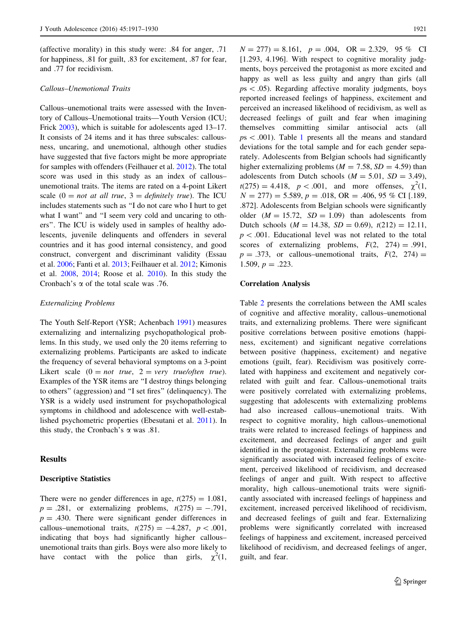(affective morality) in this study were: .84 for anger, .71 for happiness, .81 for guilt, .83 for excitement, .87 for fear, and .77 for recidivism.

## Callous–Unemotional Traits

Callous–unemotional traits were assessed with the Inventory of Callous–Unemotional traits—Youth Version (ICU; Frick [2003](#page-12-0)), which is suitable for adolescents aged 13–17. It consists of 24 items and it has three subscales: callousness, uncaring, and unemotional, although other studies have suggested that five factors might be more appropriate for samples with offenders (Feilhauer et al. [2012](#page-12-0)). The total score was used in this study as an index of callous– unemotional traits. The items are rated on a 4-point Likert scale  $(0 = not at all true, 3 = definitely true)$ . The ICU includes statements such as ''I do not care who I hurt to get what I want" and "I seem very cold and uncaring to others''. The ICU is widely used in samples of healthy adolescents, juvenile delinquents and offenders in several countries and it has good internal consistency, and good construct, convergent and discriminant validity (Essau et al. [2006;](#page-12-0) Fanti et al. [2013;](#page-12-0) Feilhauer et al. [2012;](#page-12-0) Kimonis et al. [2008](#page-12-0), [2014](#page-12-0); Roose et al. [2010\)](#page-13-0). In this study the Cronbach's  $\alpha$  of the total scale was .76.

#### Externalizing Problems

The Youth Self-Report (YSR; Achenbach [1991](#page-11-0)) measures externalizing and internalizing psychopathological problems. In this study, we used only the 20 items referring to externalizing problems. Participants are asked to indicate the frequency of several behavioral symptoms on a 3-point Likert scale  $(0 = not true, 2 = very true/often true).$ Examples of the YSR items are ''I destroy things belonging to others'' (aggression) and ''I set fires'' (delinquency). The YSR is a widely used instrument for psychopathological symptoms in childhood and adolescence with well-established psychometric properties (Ebesutani et al. [2011](#page-12-0)). In this study, the Cronbach's  $\alpha$  was .81.

## Results

#### Descriptive Statistics

There were no gender differences in age,  $t(275) = 1.081$ ,  $p = .281$ , or externalizing problems,  $t(275) = -.791$ ,  $p = .430$ . There were significant gender differences in callous–unemotional traits,  $t(275) = -4.287$ ,  $p < .001$ , indicating that boys had significantly higher callous– unemotional traits than girls. Boys were also more likely to have contact with the police than girls,  $\chi^2(1)$ ,

 $N = 277$ ) = 8.161,  $p = .004$ , OR = 2.329, 95 % CI [1.293, 4.196]. With respect to cognitive morality judgments, boys perceived the protagonist as more excited and happy as well as less guilty and angry than girls (all  $ps < .05$ ). Regarding affective morality judgments, boys reported increased feelings of happiness, excitement and perceived an increased likelihood of recidivism, as well as decreased feelings of guilt and fear when imagining themselves committing similar antisocial acts (all  $ps < .001$  $ps < .001$ ). Table 1 presents all the means and standard deviations for the total sample and for each gender separately. Adolescents from Belgian schools had significantly higher externalizing problems ( $M = 7.58$ ,  $SD = 4.59$ ) than adolescents from Dutch schools ( $M = 5.01$ ,  $SD = 3.49$ ),  $t(275) = 4.418$ ,  $p < .001$ , and more offenses,  $\chi^2(1,$  $N = 277$ ) = 5.589, p = .018, OR = .406, 95 % CI [.189, .872]. Adolescents from Belgian schools were significantly older  $(M = 15.72, SD = 1.09)$  than adolescents from Dutch schools ( $M = 14.38$ ,  $SD = 0.69$ ),  $t(212) = 12.11$ ,  $p$  < .001. Educational level was not related to the total scores of externalizing problems,  $F(2, 274) = .991$ ,  $p = .373$ , or callous–unemotional traits,  $F(2, 274) =$ 1.509,  $p = .223$ .

#### Correlation Analysis

Table [2](#page-6-0) presents the correlations between the AMI scales of cognitive and affective morality, callous–unemotional traits, and externalizing problems. There were significant positive correlations between positive emotions (happiness, excitement) and significant negative correlations between positive (happiness, excitement) and negative emotions (guilt, fear). Recidivism was positively correlated with happiness and excitement and negatively correlated with guilt and fear. Callous–unemotional traits were positively correlated with externalizing problems, suggesting that adolescents with externalizing problems had also increased callous–unemotional traits. With respect to cognitive morality, high callous–unemotional traits were related to increased feelings of happiness and excitement, and decreased feelings of anger and guilt identified in the protagonist. Externalizing problems were significantly associated with increased feelings of excitement, perceived likelihood of recidivism, and decreased feelings of anger and guilt. With respect to affective morality, high callous–unemotional traits were significantly associated with increased feelings of happiness and excitement, increased perceived likelihood of recidivism, and decreased feelings of guilt and fear. Externalizing problems were significantly correlated with increased feelings of happiness and excitement, increased perceived likelihood of recidivism, and decreased feelings of anger, guilt, and fear.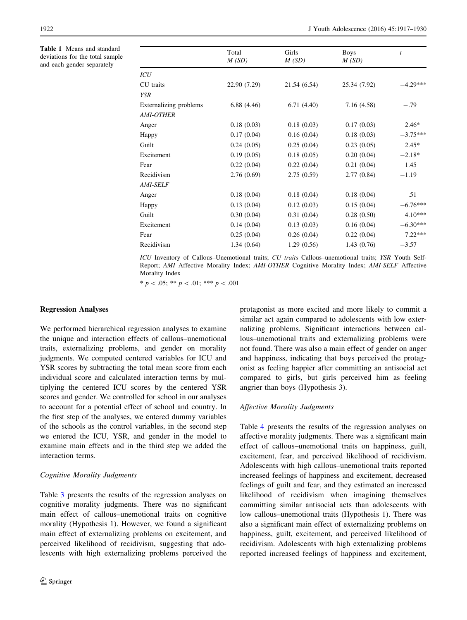<span id="page-5-0"></span>Table 1 Means and standard deviations for the total sample and each gender separately

j.

|                        | Total        | Girls        | <b>Boys</b>  | $\boldsymbol{t}$ |
|------------------------|--------------|--------------|--------------|------------------|
|                        | M(SD)        | M(SD)        | M(SD)        |                  |
| ICU                    |              |              |              |                  |
| CU traits              | 22.90 (7.29) | 21.54 (6.54) | 25.34 (7.92) | $-4.29***$       |
| <b>YSR</b>             |              |              |              |                  |
| Externalizing problems | 6.88(4.46)   | 6.71(4.40)   | 7.16 (4.58)  | $-.79$           |
| <b>AMI-OTHER</b>       |              |              |              |                  |
| Anger                  | 0.18(0.03)   | 0.18(0.03)   | 0.17(0.03)   | $2.46*$          |
| Happy                  | 0.17(0.04)   | 0.16(0.04)   | 0.18(0.03)   | $-3.75***$       |
| Guilt                  | 0.24(0.05)   | 0.25(0.04)   | 0.23(0.05)   | $2.45*$          |
| Excitement             | 0.19(0.05)   | 0.18(0.05)   | 0.20(0.04)   | $-2.18*$         |
| Fear                   | 0.22(0.04)   | 0.22(0.04)   | 0.21(0.04)   | 1.45             |
| Recidivism             | 2.76(0.69)   | 2.75(0.59)   | 2.77(0.84)   | $-1.19$          |
| <i>AMI-SELF</i>        |              |              |              |                  |
| Anger                  | 0.18(0.04)   | 0.18(0.04)   | 0.18(0.04)   | .51              |
| Happy                  | 0.13(0.04)   | 0.12(0.03)   | 0.15(0.04)   | $-6.76***$       |
| Guilt                  | 0.30(0.04)   | 0.31(0.04)   | 0.28(0.50)   | $4.10***$        |
| Excitement             | 0.14(0.04)   | 0.13(0.03)   | 0.16(0.04)   | $-6.30***$       |
| Fear                   | 0.25(0.04)   | 0.26(0.04)   | 0.22(0.04)   | $7.22***$        |
| Recidivism             | 1.34(0.64)   | 1.29(0.56)   | 1.43(0.76)   | $-3.57$          |

ICU Inventory of Callous–Unemotional traits; CU traits Callous–unemotional traits; YSR Youth Self-Report; AMI Affective Morality Index; AMI-OTHER Cognitive Morality Index; AMI-SELF Affective Morality Index

 $* p < .05; ** p < .01; ** * p < .001$ 

#### Regression Analyses

We performed hierarchical regression analyses to examine the unique and interaction effects of callous–unemotional traits, externalizing problems, and gender on morality judgments. We computed centered variables for ICU and YSR scores by subtracting the total mean score from each individual score and calculated interaction terms by multiplying the centered ICU scores by the centered YSR scores and gender. We controlled for school in our analyses to account for a potential effect of school and country. In the first step of the analyses, we entered dummy variables of the schools as the control variables, in the second step we entered the ICU, YSR, and gender in the model to examine main effects and in the third step we added the interaction terms.

## Cognitive Morality Judgments

Table [3](#page-7-0) presents the results of the regression analyses on cognitive morality judgments. There was no significant main effect of callous–unemotional traits on cognitive morality (Hypothesis 1). However, we found a significant main effect of externalizing problems on excitement, and perceived likelihood of recidivism, suggesting that adolescents with high externalizing problems perceived the protagonist as more excited and more likely to commit a similar act again compared to adolescents with low externalizing problems. Significant interactions between callous–unemotional traits and externalizing problems were not found. There was also a main effect of gender on anger and happiness, indicating that boys perceived the protagonist as feeling happier after committing an antisocial act compared to girls, but girls perceived him as feeling angrier than boys (Hypothesis 3).

#### Affective Morality Judgments

Table [4](#page-7-0) presents the results of the regression analyses on affective morality judgments. There was a significant main effect of callous–unemotional traits on happiness, guilt, excitement, fear, and perceived likelihood of recidivism. Adolescents with high callous–unemotional traits reported increased feelings of happiness and excitement, decreased feelings of guilt and fear, and they estimated an increased likelihood of recidivism when imagining themselves committing similar antisocial acts than adolescents with low callous–unemotional traits (Hypothesis 1). There was also a significant main effect of externalizing problems on happiness, guilt, excitement, and perceived likelihood of recidivism. Adolescents with high externalizing problems reported increased feelings of happiness and excitement,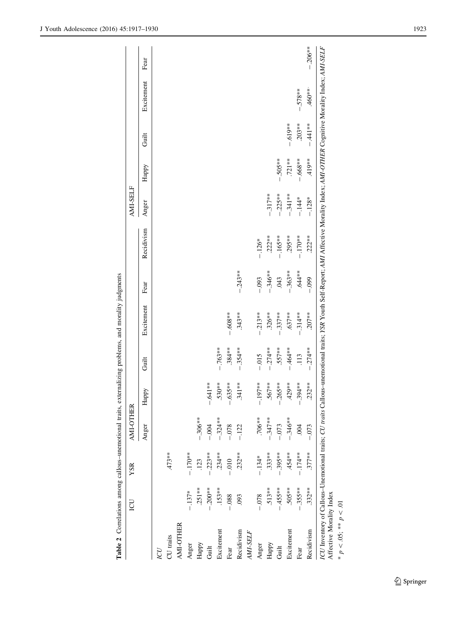<span id="page-6-0"></span>

|            | LCU       | YSR        | AMI-OTHER       |                    |            |            |           |            | AMI-SELF   |           |           |            |           |
|------------|-----------|------------|-----------------|--------------------|------------|------------|-----------|------------|------------|-----------|-----------|------------|-----------|
|            |           |            | Anger           | Happy              | Guilt      | Excitement | Fear      | Recidivism | Anger      | Happy     | Guilt     | Excitement | Fear      |
| IJ         |           |            |                 |                    |            |            |           |            |            |           |           |            |           |
| CU traits  |           | $.473**$   |                 |                    |            |            |           |            |            |           |           |            |           |
| AMI-OTHER  |           |            |                 |                    |            |            |           |            |            |           |           |            |           |
| Anger      | $-137*$   | $-170**$   |                 |                    |            |            |           |            |            |           |           |            |           |
| Happy      | $.251**$  | .123       | $-.306**$       |                    |            |            |           |            |            |           |           |            |           |
| Guilt      | $-200$ ** | $-0.223**$ | $-0.004$        | $-.641**$          |            |            |           |            |            |           |           |            |           |
| Excitement | $.153**$  | $.234**$   | $-324**$        | $.530**$           | $-.763**$  |            |           |            |            |           |           |            |           |
| Fear       | $-0.88$   | $-0.010$   | $-.078$         | $-.635***$         | $.384***$  | $-0.608**$ |           |            |            |           |           |            |           |
| Recidivism | 093       | $.232***$  | $-.122$         | $.341***$          | $-354**$   | $.343**$   | $-.243**$ |            |            |           |           |            |           |
| AMI-SELF   |           |            |                 |                    |            |            |           |            |            |           |           |            |           |
| Anger      | $-0.078$  | $-.134*$   | $.706**$        | 197**<br>$\vec{i}$ | $-0.015$   | $-.213**$  | $-0.093$  | $-.126*$   |            |           |           |            |           |
| Happy      | $.513**$  | $.333***$  | $-347**$        | $.567**$           | $-274**$   | $.326***$  | $-.346**$ | $.222**$   | $-.317**$  |           |           |            |           |
| Guilt      | $-455**$  | $-.395**$  | $-.073$         | $-.265***$         | $.557**$   | $-.337***$ | .043      | $-.165**$  | $-225**$   | $-.505**$ |           |            |           |
| Excitement | .505**    | $.454***$  | $-.346**$       | $.429**$           | $-464**$   | $.637**$   | $-363**$  | $.295**$   | $-.341***$ | $.721**$  | $-.619**$ |            |           |
| Fear       | $-355**$  | $-.174**$  | $\widetilde{9}$ | $-.394***$         | .113       | $-314**$   | $.644**$  | $-170**$   | $-144*$    | $-.668**$ | $.203**$  | $-.578**$  |           |
| Recidivism | $.332**$  | $.377**$   | $-.073$         | $.232***$          | $-0.274**$ | $.207**$   | $-0.099$  | $.222**$   | $-128*$    | 419**     | $-441**$  | $460**$    | $-.206**$ |

\*  $p < .05;$  \*\*  $p < .01$ \*  $p \lt .05;$  \*\*  $p \lt .01$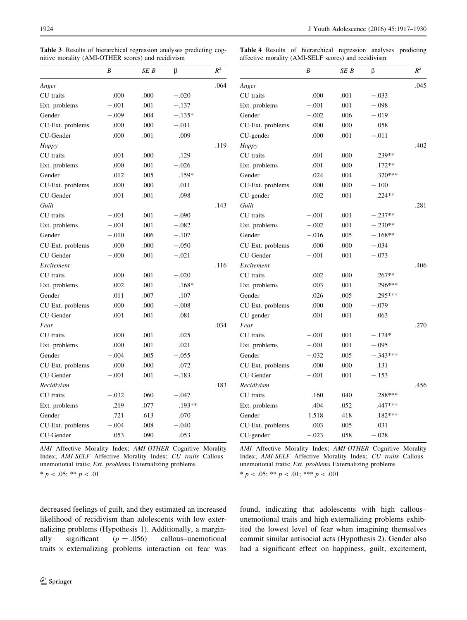<span id="page-7-0"></span>Table 3 Results of hierarchical regression analyses predicting cognitive morality (AMI-OTHER scores) and recidivism

Table 4 Results of hierarchical regression analyses predicting affective morality (AMI-SELF scores) and recidivism

|                  | $\boldsymbol{B}$ | SE B   | $\beta$  | $\mathbb{R}^2$ |                  | $\boldsymbol{B}$ | SE B   | β          | $R^2$ |
|------------------|------------------|--------|----------|----------------|------------------|------------------|--------|------------|-------|
| Anger            |                  |        |          | .064           | Anger            |                  |        |            | .045  |
| CU traits        | .000             | .000   | $-.020$  |                | CU traits        | .000             | .001   | $-.033$    |       |
| Ext. problems    | $-.001$          | .001   | $-.137$  |                | Ext. problems    | $-.001$          | .001   | $-.098$    |       |
| Gender           | $-.009$          | .004   | $-.135*$ |                | Gender           | $-.002$          | .006   | $-.019$    |       |
| CU-Ext. problems | .000             | .000   | $-.011$  |                | CU-Ext. problems | .000             | .000   | .058       |       |
| CU-Gender        | .000             | .001   | .009     |                | CU-gender        | .000             | .001   | $-.011$    |       |
| Happy            |                  |        |          | .119           | Happy            |                  |        |            | .402  |
| CU traits        | .001             | .000   | .129     |                | CU traits        | .001             | .000   | .239**     |       |
| Ext. problems    | .000             | .001   | $-.026$  |                | Ext. problems    | .001             | .000   | $.172**$   |       |
| Gender           | .012             | .005   | $.159*$  |                | Gender           | .024             | .004   | $.320***$  |       |
| CU-Ext. problems | .000             | .000   | .011     |                | CU-Ext. problems | .000             | .000   | $-.100$    |       |
| CU-Gender        | .001             | .001   | .098     |                | CU-gender        | .002             | .001   | $.224**$   |       |
| Guilt            |                  |        |          | .143           | Guilt            |                  |        |            | .281  |
| CU traits        | $-.001$          | .001   | $-.090$  |                | CU traits        | $-.001$          | .001   | $-.237**$  |       |
| Ext. problems    | $-.001$          | .001   | $-.082$  |                | Ext. problems    | $-.002$          | .001   | $-.230**$  |       |
| Gender           | $-.010$          | .006   | $-.107$  |                | Gender           | $-.016$          | .005   | $-.168**$  |       |
| CU-Ext. problems | .000             | .000   | $-.050$  |                | CU-Ext. problems | .000             | .000   | $-.034$    |       |
| CU-Gender        | $-.000$          | .001   | $-.021$  |                | CU-Gender        | $-.001$          | .001   | $-.073$    |       |
| Excitement       |                  |        |          | .116           | Excitement       |                  |        |            | .406  |
| CU traits        | .000             | .001   | $-.020$  |                | CU traits        | .002             | .000   | $.267**$   |       |
| Ext. problems    | .002             | .001   | $.168*$  |                | Ext. problems    | .003             | .001   | .296***    |       |
| Gender           | .011             | .007   | .107     |                | Gender           | .026             | .005   | $.295***$  |       |
| CU-Ext. problems | .000             | .000   | $-.008$  |                | CU-Ext. problems | .000             | .000   | $-.079$    |       |
| CU-Gender        | .001             | .001   | .081     |                | CU-gender        | .001             | .001   | .063       |       |
| Fear             |                  |        |          | .034           | Fear             |                  |        |            | .270  |
| CU traits        | .000             | .001   | .025     |                | CU traits        | $-.001$          | .001   | $-.174*$   |       |
| Ext. problems    | .000             | .001   | .021     |                | Ext. problems    | $-.001$          | $.001$ | $-.095$    |       |
| Gender           | $-.004$          | .005   | $-.055$  |                | Gender           | $-.032$          | .005   | $-.343***$ |       |
| CU-Ext. problems | .000             | .000   | .072     |                | CU-Ext. problems | .000             | .000   | .131       |       |
| CU-Gender        | $-.001$          | .001   | $-.183$  |                | CU-Gender        | $-.001$          | .001   | $-.153$    |       |
| Recidivism       |                  |        |          | .183           | Recidivism       |                  |        |            | .456  |
| CU traits        | $-.032$          | .060   | $-.047$  |                | CU traits        | .160             | .040   | $.288***$  |       |
| Ext. problems    | .219             | .077   | .193**   |                | Ext. problems    | .404             | .052   | .447***    |       |
| Gender           | .721             | .613   | .070     |                | Gender           | 1.518            | .418   | $.182***$  |       |
| CU-Ext. problems | $-.004$          | $.008$ | $-.040$  |                | CU-Ext. problems | .003             | .005   | .031       |       |
| CU-Gender        | .053             | .090   | .053     |                | CU-gender        | $-.023$          | .058   | $-.028$    |       |

| CU traits                                                  | .002    | .000 | $.267**$   |      |
|------------------------------------------------------------|---------|------|------------|------|
| Ext. problems                                              | .003    | .001 | .296***    |      |
| Gender                                                     | .026    | .005 | .295***    |      |
| CU-Ext. problems                                           | .000    | .000 | $-.079$    |      |
| CU-gender                                                  | .001    | .001 | .063       |      |
| Fear                                                       |         |      |            | .270 |
| CU traits                                                  | $-.001$ | .001 | $-.174*$   |      |
| Ext. problems                                              | $-.001$ | .001 | $-.095$    |      |
| Gender                                                     | $-.032$ | .005 | $-.343***$ |      |
| CU-Ext. problems                                           | .000    | .000 | .131       |      |
| CU-Gender                                                  | $-.001$ | .001 | $-.153$    |      |
| Recidivism                                                 |         |      |            | .456 |
| CU traits                                                  | .160    | .040 | .288***    |      |
| Ext. problems                                              | .404    | .052 | .447 ***   |      |
| Gender                                                     | 1.518   | .418 | $.182***$  |      |
| CU-Ext. problems                                           | .003    | .005 | .031       |      |
| CU-gender                                                  | $-.023$ | .058 | $-.028$    |      |
| AMI Affective Morality Index; AMI-OTHER Cognitive Morality |         |      |            |      |

AMI Affective Morality Index; AMI-OTHER Cognitive Morality Index; AMI-SELF Affective Morality Index; CU traits Callous– unemotional traits; Ext. problems Externalizing problems

\*  $p$  < .05; \*\*  $p$  < .01

Index; AMI-SELF Affective Morality Index; CU traits Callous– unemotional traits; Ext. problems Externalizing problems \*  $p$  < .05; \*\*  $p$  < .01; \*\*\*  $p$  < .001

decreased feelings of guilt, and they estimated an increased likelihood of recidivism than adolescents with low externalizing problems (Hypothesis 1). Additionally, a marginally significant  $(p = .056)$  callous–unemotional traits  $\times$  externalizing problems interaction on fear was found, indicating that adolescents with high callous– unemotional traits and high externalizing problems exhibited the lowest level of fear when imagining themselves commit similar antisocial acts (Hypothesis 2). Gender also had a significant effect on happiness, guilt, excitement,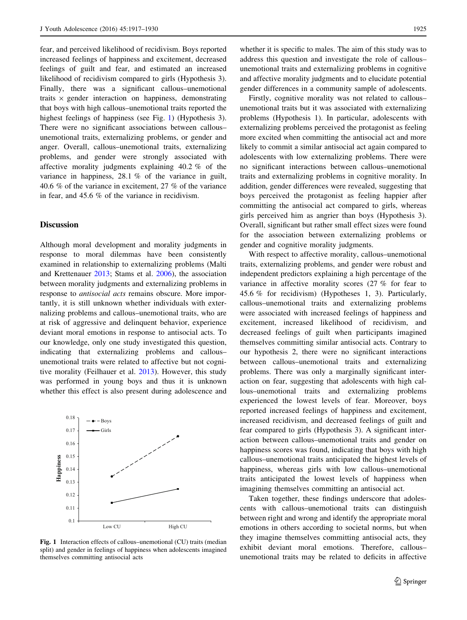fear, and perceived likelihood of recidivism. Boys reported increased feelings of happiness and excitement, decreased feelings of guilt and fear, and estimated an increased likelihood of recidivism compared to girls (Hypothesis 3). Finally, there was a significant callous–unemotional traits  $\times$  gender interaction on happiness, demonstrating that boys with high callous–unemotional traits reported the highest feelings of happiness (see Fig. 1) (Hypothesis 3). There were no significant associations between callous– unemotional traits, externalizing problems, or gender and anger. Overall, callous–unemotional traits, externalizing problems, and gender were strongly associated with affective morality judgments explaining 40.2 % of the variance in happiness, 28.1 % of the variance in guilt, 40.6 % of the variance in excitement, 27 % of the variance in fear, and 45.6 % of the variance in recidivism.

## **Discussion**

Although moral development and morality judgments in response to moral dilemmas have been consistently examined in relationship to externalizing problems (Malti and Krettenauer [2013](#page-13-0); Stams et al. [2006](#page-13-0)), the association between morality judgments and externalizing problems in response to antisocial acts remains obscure. More importantly, it is still unknown whether individuals with externalizing problems and callous–unemotional traits, who are at risk of aggressive and delinquent behavior, experience deviant moral emotions in response to antisocial acts. To our knowledge, only one study investigated this question, indicating that externalizing problems and callous– unemotional traits were related to affective but not cognitive morality (Feilhauer et al. [2013\)](#page-12-0). However, this study was performed in young boys and thus it is unknown whether this effect is also present during adolescence and



Fig. 1 Interaction effects of callous–unemotional (CU) traits (median split) and gender in feelings of happiness when adolescents imagined themselves committing antisocial acts

whether it is specific to males. The aim of this study was to address this question and investigate the role of callous– unemotional traits and externalizing problems in cognitive and affective morality judgments and to elucidate potential gender differences in a community sample of adolescents.

Firstly, cognitive morality was not related to callous– unemotional traits but it was associated with externalizing problems (Hypothesis 1). In particular, adolescents with externalizing problems perceived the protagonist as feeling more excited when committing the antisocial act and more likely to commit a similar antisocial act again compared to adolescents with low externalizing problems. There were no significant interactions between callous–unemotional traits and externalizing problems in cognitive morality. In addition, gender differences were revealed, suggesting that boys perceived the protagonist as feeling happier after committing the antisocial act compared to girls, whereas girls perceived him as angrier than boys (Hypothesis 3). Overall, significant but rather small effect sizes were found for the association between externalizing problems or gender and cognitive morality judgments.

With respect to affective morality, callous–unemotional traits, externalizing problems, and gender were robust and independent predictors explaining a high percentage of the variance in affective morality scores (27 % for fear to 45.6 % for recidivism) (Hypotheses 1, 3). Particularly, callous–unemotional traits and externalizing problems were associated with increased feelings of happiness and excitement, increased likelihood of recidivism, and decreased feelings of guilt when participants imagined themselves committing similar antisocial acts. Contrary to our hypothesis 2, there were no significant interactions between callous–unemotional traits and externalizing problems. There was only a marginally significant interaction on fear, suggesting that adolescents with high callous–unemotional traits and externalizing problems experienced the lowest levels of fear. Moreover, boys reported increased feelings of happiness and excitement, increased recidivism, and decreased feelings of guilt and fear compared to girls (Hypothesis 3). A significant interaction between callous–unemotional traits and gender on happiness scores was found, indicating that boys with high callous–unemotional traits anticipated the highest levels of happiness, whereas girls with low callous–unemotional traits anticipated the lowest levels of happiness when imagining themselves committing an antisocial act.

Taken together, these findings underscore that adolescents with callous–unemotional traits can distinguish between right and wrong and identify the appropriate moral emotions in others according to societal norms, but when they imagine themselves committing antisocial acts, they exhibit deviant moral emotions. Therefore, callous– unemotional traits may be related to deficits in affective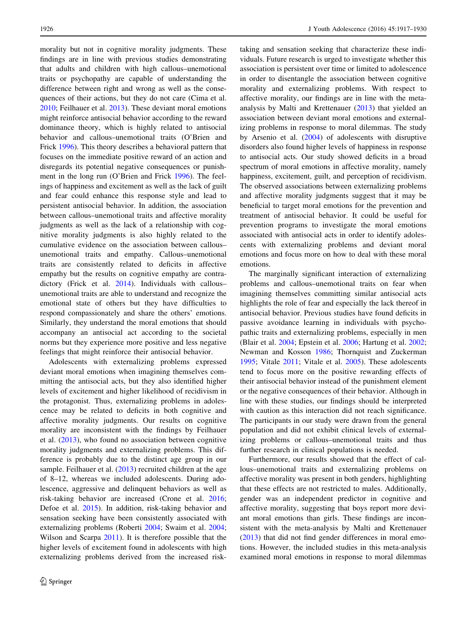morality but not in cognitive morality judgments. These findings are in line with previous studies demonstrating that adults and children with high callous–unemotional traits or psychopathy are capable of understanding the difference between right and wrong as well as the consequences of their actions, but they do not care (Cima et al. [2010;](#page-12-0) Feilhauer et al. [2013](#page-12-0)). These deviant moral emotions might reinforce antisocial behavior according to the reward dominance theory, which is highly related to antisocial behavior and callous–unemotional traits (O'Brien and Frick [1996\)](#page-13-0). This theory describes a behavioral pattern that focuses on the immediate positive reward of an action and disregards its potential negative consequences or punishment in the long run (O'Brien and Frick [1996](#page-13-0)). The feelings of happiness and excitement as well as the lack of guilt and fear could enhance this response style and lead to persistent antisocial behavior. In addition, the association between callous–unemotional traits and affective morality judgments as well as the lack of a relationship with cognitive morality judgments is also highly related to the cumulative evidence on the association between callous– unemotional traits and empathy. Callous–unemotional traits are consistently related to deficits in affective empathy but the results on cognitive empathy are contradictory (Frick et al. [2014](#page-12-0)). Individuals with callous– unemotional traits are able to understand and recognize the emotional state of others but they have difficulties to respond compassionately and share the others' emotions. Similarly, they understand the moral emotions that should accompany an antisocial act according to the societal norms but they experience more positive and less negative feelings that might reinforce their antisocial behavior.

Adolescents with externalizing problems expressed deviant moral emotions when imagining themselves committing the antisocial acts, but they also identified higher levels of excitement and higher likelihood of recidivism in the protagonist. Thus, externalizing problems in adolescence may be related to deficits in both cognitive and affective morality judgments. Our results on cognitive morality are inconsistent with the findings by Feilhauer et al. ([2013\)](#page-12-0), who found no association between cognitive morality judgments and externalizing problems. This difference is probably due to the distinct age group in our sample. Feilhauer et al. ([2013\)](#page-12-0) recruited children at the age of 8–12, whereas we included adolescents. During adolescence, aggressive and delinquent behaviors as well as risk-taking behavior are increased (Crone et al. [2016](#page-12-0); Defoe et al. [2015](#page-12-0)). In addition, risk-taking behavior and sensation seeking have been consistently associated with externalizing problems (Roberti [2004;](#page-13-0) Swaim et al. [2004](#page-13-0); Wilson and Scarpa [2011](#page-13-0)). It is therefore possible that the higher levels of excitement found in adolescents with high externalizing problems derived from the increased risktaking and sensation seeking that characterize these individuals. Future research is urged to investigate whether this association is persistent over time or limited to adolescence in order to disentangle the association between cognitive morality and externalizing problems. With respect to affective morality, our findings are in line with the metaanalysis by Malti and Krettenauer ([2013\)](#page-13-0) that yielded an association between deviant moral emotions and externalizing problems in response to moral dilemmas. The study by Arsenio et al. [\(2004](#page-11-0)) of adolescents with disruptive disorders also found higher levels of happiness in response to antisocial acts. Our study showed deficits in a broad spectrum of moral emotions in affective morality, namely happiness, excitement, guilt, and perception of recidivism. The observed associations between externalizing problems and affective morality judgments suggest that it may be beneficial to target moral emotions for the prevention and treatment of antisocial behavior. It could be useful for prevention programs to investigate the moral emotions associated with antisocial acts in order to identify adolescents with externalizing problems and deviant moral emotions and focus more on how to deal with these moral emotions.

The marginally significant interaction of externalizing problems and callous–unemotional traits on fear when imagining themselves committing similar antisocial acts highlights the role of fear and especially the lack thereof in antisocial behavior. Previous studies have found deficits in passive avoidance learning in individuals with psychopathic traits and externalizing problems, especially in men (Blair et al. [2004](#page-11-0); Epstein et al. [2006](#page-12-0); Hartung et al. [2002](#page-12-0); Newman and Kosson [1986;](#page-13-0) Thornquist and Zuckerman [1995](#page-13-0); Vitale [2011](#page-13-0); Vitale et al. [2005\)](#page-13-0). These adolescents tend to focus more on the positive rewarding effects of their antisocial behavior instead of the punishment element or the negative consequences of their behavior. Although in line with these studies, our findings should be interpreted with caution as this interaction did not reach significance. The participants in our study were drawn from the general population and did not exhibit clinical levels of externalizing problems or callous–unemotional traits and thus further research in clinical populations is needed.

Furthermore, our results showed that the effect of callous–unemotional traits and externalizing problems on affective morality was present in both genders, highlighting that these effects are not restricted to males. Additionally, gender was an independent predictor in cognitive and affective morality, suggesting that boys report more deviant moral emotions than girls. These findings are inconsistent with the meta-analysis by Malti and Krettenauer [\(2013](#page-13-0)) that did not find gender differences in moral emotions. However, the included studies in this meta-analysis examined moral emotions in response to moral dilemmas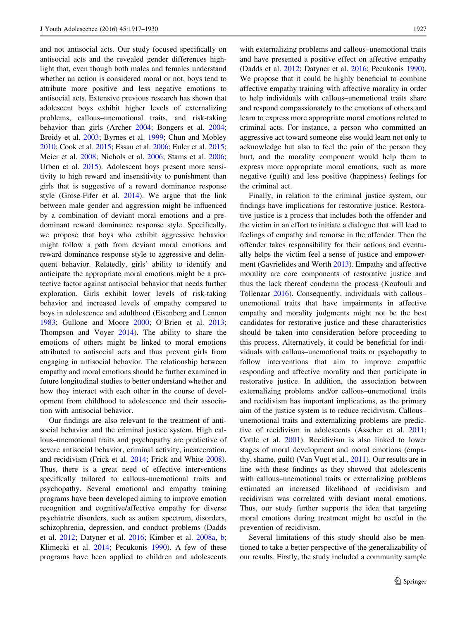and not antisocial acts. Our study focused specifically on antisocial acts and the revealed gender differences highlight that, even though both males and females understand whether an action is considered moral or not, boys tend to attribute more positive and less negative emotions to antisocial acts. Extensive previous research has shown that adolescent boys exhibit higher levels of externalizing problems, callous–unemotional traits, and risk-taking behavior than girls (Archer [2004;](#page-11-0) Bongers et al. [2004](#page-12-0); Broidy et al. [2003](#page-12-0); Byrnes et al. [1999;](#page-12-0) Chun and Mobley [2010;](#page-12-0) Cook et al. [2015](#page-12-0); Essau et al. [2006](#page-12-0); Euler et al. [2015](#page-12-0); Meier et al. [2008;](#page-13-0) Nichols et al. [2006;](#page-13-0) Stams et al. [2006](#page-13-0); Urben et al. [2015\)](#page-13-0). Adolescent boys present more sensitivity to high reward and insensitivity to punishment than girls that is suggestive of a reward dominance response style (Grose-Fifer et al. [2014\)](#page-12-0). We argue that the link between male gender and aggression might be influenced by a combination of deviant moral emotions and a predominant reward dominance response style. Specifically, we propose that boys who exhibit aggressive behavior might follow a path from deviant moral emotions and reward dominance response style to aggressive and delinquent behavior. Relatedly, girls' ability to identify and anticipate the appropriate moral emotions might be a protective factor against antisocial behavior that needs further exploration. Girls exhibit lower levels of risk-taking behavior and increased levels of empathy compared to boys in adolescence and adulthood (Eisenberg and Lennon [1983;](#page-12-0) Gullone and Moore [2000](#page-12-0); O'Brien et al. [2013](#page-13-0); Thompson and Voyer [2014](#page-13-0)). The ability to share the emotions of others might be linked to moral emotions attributed to antisocial acts and thus prevent girls from engaging in antisocial behavior. The relationship between empathy and moral emotions should be further examined in future longitudinal studies to better understand whether and how they interact with each other in the course of development from childhood to adolescence and their association with antisocial behavior.

Our findings are also relevant to the treatment of antisocial behavior and the criminal justice system. High callous–unemotional traits and psychopathy are predictive of severe antisocial behavior, criminal activity, incarceration, and recidivism (Frick et al. [2014;](#page-12-0) Frick and White [2008](#page-12-0)). Thus, there is a great need of effective interventions specifically tailored to callous–unemotional traits and psychopathy. Several emotional and empathy training programs have been developed aiming to improve emotion recognition and cognitive/affective empathy for diverse psychiatric disorders, such as autism spectrum, disorders, schizophrenia, depression, and conduct problems (Dadds et al. [2012](#page-12-0); Datyner et al. [2016](#page-12-0); Kimber et al. [2008a,](#page-12-0) [b](#page-12-0); Klimecki et al. [2014;](#page-13-0) Pecukonis [1990](#page-13-0)). A few of these programs have been applied to children and adolescents

with externalizing problems and callous–unemotional traits and have presented a positive effect on affective empathy (Dadds et al. [2012](#page-12-0); Datyner et al. [2016;](#page-12-0) Pecukonis [1990](#page-13-0)). We propose that it could be highly beneficial to combine affective empathy training with affective morality in order to help individuals with callous–unemotional traits share and respond compassionately to the emotions of others and learn to express more appropriate moral emotions related to criminal acts. For instance, a person who committed an aggressive act toward someone else would learn not only to acknowledge but also to feel the pain of the person they hurt, and the morality component would help them to express more appropriate moral emotions, such as more negative (guilt) and less positive (happiness) feelings for the criminal act.

Finally, in relation to the criminal justice system, our findings have implications for restorative justice. Restorative justice is a process that includes both the offender and the victim in an effort to initiate a dialogue that will lead to feelings of empathy and remorse in the offender. Then the offender takes responsibility for their actions and eventually helps the victim feel a sense of justice and empowerment (Gavrielides and Worth [2013](#page-12-0)). Empathy and affective morality are core components of restorative justice and thus the lack thereof condemn the process (Koufouli and Tollenaar [2016\)](#page-13-0). Consequently, individuals with callous– unemotional traits that have impairments in affective empathy and morality judgments might not be the best candidates for restorative justice and these characteristics should be taken into consideration before proceeding to this process. Alternatively, it could be beneficial for individuals with callous–unemotional traits or psychopathy to follow interventions that aim to improve empathic responding and affective morality and then participate in restorative justice. In addition, the association between externalizing problems and/or callous–unemotional traits and recidivism has important implications, as the primary aim of the justice system is to reduce recidivism. Callous– unemotional traits and externalizing problems are predictive of recidivism in adolescents (Asscher et al. [2011](#page-11-0); Cottle et al. [2001](#page-12-0)). Recidivism is also linked to lower stages of moral development and moral emotions (empathy, shame, guilt) (Van Vugt et al., [2011](#page-13-0)). Our results are in line with these findings as they showed that adolescents with callous–unemotional traits or externalizing problems estimated an increased likelihood of recidivism and recidivism was correlated with deviant moral emotions. Thus, our study further supports the idea that targeting moral emotions during treatment might be useful in the prevention of recidivism.

Several limitations of this study should also be mentioned to take a better perspective of the generalizability of our results. Firstly, the study included a community sample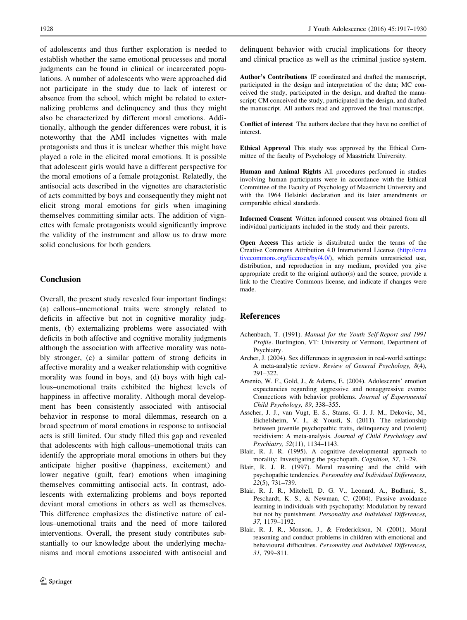<span id="page-11-0"></span>of adolescents and thus further exploration is needed to establish whether the same emotional processes and moral judgments can be found in clinical or incarcerated populations. A number of adolescents who were approached did not participate in the study due to lack of interest or absence from the school, which might be related to externalizing problems and delinquency and thus they might also be characterized by different moral emotions. Additionally, although the gender differences were robust, it is noteworthy that the AMI includes vignettes with male protagonists and thus it is unclear whether this might have played a role in the elicited moral emotions. It is possible that adolescent girls would have a different perspective for the moral emotions of a female protagonist. Relatedly, the antisocial acts described in the vignettes are characteristic of acts committed by boys and consequently they might not elicit strong moral emotions for girls when imagining themselves committing similar acts. The addition of vignettes with female protagonists would significantly improve the validity of the instrument and allow us to draw more solid conclusions for both genders.

# **Conclusion**

Overall, the present study revealed four important findings: (a) callous–unemotional traits were strongly related to deficits in affective but not in cognitive morality judgments, (b) externalizing problems were associated with deficits in both affective and cognitive morality judgments although the association with affective morality was notably stronger, (c) a similar pattern of strong deficits in affective morality and a weaker relationship with cognitive morality was found in boys, and (d) boys with high callous–unemotional traits exhibited the highest levels of happiness in affective morality. Although moral development has been consistently associated with antisocial behavior in response to moral dilemmas, research on a broad spectrum of moral emotions in response to antisocial acts is still limited. Our study filled this gap and revealed that adolescents with high callous–unemotional traits can identify the appropriate moral emotions in others but they anticipate higher positive (happiness, excitement) and lower negative (guilt, fear) emotions when imagining themselves committing antisocial acts. In contrast, adolescents with externalizing problems and boys reported deviant moral emotions in others as well as themselves. This difference emphasizes the distinctive nature of callous–unemotional traits and the need of more tailored interventions. Overall, the present study contributes substantially to our knowledge about the underlying mechanisms and moral emotions associated with antisocial and

delinquent behavior with crucial implications for theory and clinical practice as well as the criminal justice system.

Author's Contributions IF coordinated and drafted the manuscript, participated in the design and interpretation of the data; MC conceived the study, participated in the design, and drafted the manuscript; CM conceived the study, participated in the design, and drafted the manuscript. All authors read and approved the final manuscript.

Conflict of interest The authors declare that they have no conflict of interest.

Ethical Approval This study was approved by the Ethical Committee of the faculty of Psychology of Maastricht University.

Human and Animal Rights All procedures performed in studies involving human participants were in accordance with the Ethical Committee of the Faculty of Psychology of Maastricht University and with the 1964 Helsinki declaration and its later amendments or comparable ethical standards.

Informed Consent Written informed consent was obtained from all individual participants included in the study and their parents.

Open Access This article is distributed under the terms of the Creative Commons Attribution 4.0 International License ([http://crea](http://creativecommons.org/licenses/by/4.0/) [tivecommons.org/licenses/by/4.0/\)](http://creativecommons.org/licenses/by/4.0/), which permits unrestricted use, distribution, and reproduction in any medium, provided you give appropriate credit to the original author(s) and the source, provide a link to the Creative Commons license, and indicate if changes were made.

# References

- Achenbach, T. (1991). Manual for the Youth Self-Report and 1991 Profile. Burlington, VT: University of Vermont, Department of Psychiatry.
- Archer, J. (2004). Sex differences in aggression in real-world settings: A meta-analytic review. Review of General Psychology, 8(4), 291–322.
- Arsenio, W. F., Gold, J., & Adams, E. (2004). Adolescents' emotion expectancies regarding aggressive and nonaggressive events: Connections with behavior problems. Journal of Experimental Child Psychology, 89, 338–355.
- Asscher, J. J., van Vugt, E. S., Stams, G. J. J. M., Dekovic, M., Eichelsheim, V. I., & Yousfi, S. (2011). The relationship between juvenile psychopathic traits, delinquency and (violent) recidivism: A meta-analysis. Journal of Child Psychology and Psychiatry, 52(11), 1134–1143.
- Blair, R. J. R. (1995). A cognitive developmental approach to morality: Investigating the psychopath. Cognition, 57, 1–29.
- Blair, R. J. R. (1997). Moral reasoning and the child with psychopathic tendencies. Personality and Individual Differences, 22(5), 731–739.
- Blair, R. J. R., Mitchell, D. G. V., Leonard, A., Budhani, S., Peschardt, K. S., & Newman, C. (2004). Passive avoidance learning in individuals with psychopathy: Modulation by reward but not by punishment. Personality and Individual Differences, 37, 1179–1192.
- Blair, R. J. R., Monson, J., & Frederickson, N. (2001). Moral reasoning and conduct problems in children with emotional and behavioural difficulties. Personality and Individual Differences, 31, 799–811.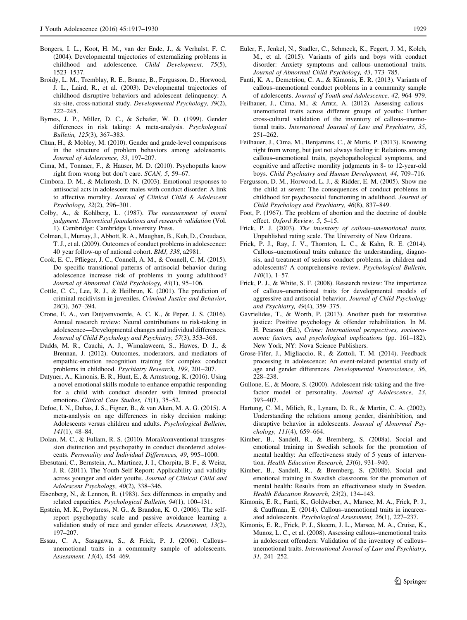- <span id="page-12-0"></span>Bongers, I. L., Koot, H. M., van der Ende, J., & Verhulst, F. C. (2004). Developmental trajectories of externalizing problems in childhood and adolescence. Child Development, 75(5), 1523–1537.
- Broidy, L. M., Tremblay, R. E., Brame, B., Fergusson, D., Horwood, J. L., Laird, R., et al. (2003). Developmental trajectories of childhood disruptive behaviors and adolescent delinquency: A six-site, cross-national study. Developmental Psychology, 39(2), 222–245.
- Byrnes, J. P., Miller, D. C., & Schafer, W. D. (1999). Gender differences in risk taking: A meta-analysis. Psychological Bulletin, 125(3), 367–383.
- Chun, H., & Mobley, M. (2010). Gender and grade-level comparisons in the structure of problem behaviors among adolescents. Journal of Adolescence, 33, 197–207.
- Cima, M., Tonnaer, F., & Hauser, M. D. (2010). Psychopaths know right from wrong but don't care. SCAN, 5, 59–67.
- Cimbora, D. M., & McIntosh, D. N. (2003). Emotional responses to antisocial acts in adolescent males with conduct disorder: A link to affective morality. Journal of Clinical Child & Adolescent Psychology, 32(2), 296–301.
- Colby, A., & Kohlberg, L. (1987). The measurement of moral judgment. Theoretical foundations and research validation (Vol. 1). Cambridge: Cambridge University Press.
- Colman, I., Murray, J., Abbott, R. A., Maughan, B., Kuh, D., Croudace, T. J., et al. (2009). Outcomes of conduct problems in adolescence: 40 year follow-up of national cohort. BMJ, 338, a2981.
- Cook, E. C., Pflieger, J. C., Connell, A. M., & Connell, C. M. (2015). Do specific transitional patterns of antisocial behavior during adolescence increase risk of problems in young adulthood? Journal of Abnormal Child Psychology, 43(1), 95–106.
- Cottle, C. C., Lee, R. J., & Heilbrun, K. (2001). The prediction of criminal recidivism in juveniles. Criminal Justice and Behavior, 28(3), 367–394.
- Crone, E. A., van Duijvenvoorde, A. C. K., & Peper, J. S. (2016). Annual research review: Neural contributions to risk-taking in adolescence—Developmental changes and individual differences. Journal of Child Psychology and Psychiatry, 57(3), 353–368.
- Dadds, M. R., Cauchi, A. J., Wimalaweera, S., Hawes, D. J., & Brennan, J. (2012). Outcomes, moderators, and mediators of empathic-emotion recognition training for complex conduct problems in childhood. Psychiatry Research, 199, 201–207.
- Datyner, A., Kimonis, E. R., Hunt, E., & Armstrong, K. (2016). Using a novel emotional skills module to enhance empathic responding for a child with conduct disorder with limited prosocial emotions. Clinical Case Studies, 15(1), 35–52.
- Defoe, I. N., Dubas, J. S., Figner, B., & van Aken, M. A. G. (2015). A meta-analysis on age differences in risky decision making: Adolescents versus children and adults. Psychological Bulletin, 141(1), 48–84.
- Dolan, M. C., & Fullam, R. S. (2010). Moral/conventional transgression distinction and psychopathy in conduct disordered adolescents. Personality and Individual Differences, 49, 995–1000.
- Ebesutani, C., Bernstein, A., Martinez, J. I., Chorpita, B. F., & Weisz, J. R. (2011). The Youth Self Report: Applicability and validity across younger and older youths. Journal of Clinical Child and Adolescent Psychology, 40(2), 338–346.
- Eisenberg, N., & Lennon, R. (1983). Sex differences in empathy and related capacities. Psychological Bulletin, 94(1), 100–131.
- Epstein, M. K., Poythress, N. G., & Brandon, K. O. (2006). The selfreport psychopathy scale and passive avoidance learning a validation study of race and gender effects. Assessment, 13(2), 197–207.
- Essau, C. A., Sasagawa, S., & Frick, P. J. (2006). Callous– unemotional traits in a community sample of adolescents. Assessment, 13(4), 454–469.
- Euler, F., Jenkel, N., Stadler, C., Schmeck, K., Fegert, J. M., Kolch, M., et al. (2015). Variants of girls and boys with conduct disorder: Anxiety symptoms and callous–unemotional traits. Journal of Abnormal Child Psychology, 43, 773–785.
- Fanti, K. A., Demetriou, C. A., & Kimonis, E. R. (2013). Variants of callous–unemotional conduct problems in a community sample of adolescents. Journal of Youth and Adolescence, 42, 964–979.
- Feilhauer, J., Cima, M., & Arntz, A. (2012). Assessing callous– unemotional traits across different groups of youths: Further cross-cultural validation of the inventory of callous–unemotional traits. International Journal of Law and Psychiatry, 35, 251–262.
- Feilhauer, J., Cima, M., Benjamins, C., & Muris, P. (2013). Knowing right from wrong, but just not always feeling it: Relations among callous–unemotional traits, psychopathological symptoms, and cognitive and affective morality judgments in 8- to 12-year-old boys. Child Psychiatry and Human Development, 44, 709–716.
- Fergusson, D. M., Horwood, L. J., & Ridder, E. M. (2005). Show me the child at seven: The consequences of conduct problems in childhood for psychosocial functioning in adulthood. Journal of Child Psychology and Psychiatry, 46(8), 837–849.
- Foot, P. (1967). The problem of abortion and the doctrine of double effect. Oxford Review, 5, 5–15.
- Frick, P. J. (2003). The inventory of callous–unemotional traits. Unpublished rating scale. The University of New Orleans.
- Frick, P. J., Ray, J. V., Thornton, L. C., & Kahn, R. E. (2014). Callous–unemotional traits enhance the understanding, diagnosis, and treatment of serious conduct problems, in children and adolescents? A comprehensive review. Psychological Bulletin, 140(1), 1–57.
- Frick, P. J., & White, S. F. (2008). Research review: The importance of callous–unemotional traits for developmental models of aggressive and antisocial behavior. Journal of Child Psychology and Psychiatry, 49(4), 359–375.
- Gavrielides, T., & Worth, P. (2013). Another push for restorative justice: Positive psychology & offender rehabilitation. In M. H. Pearson (Ed.), Crime: International perspectives, socioeconomic factors, and psychological implications (pp. 161–182). New York, NY: Nova Science Publishers.
- Grose-Fifer, J., Migliaccio, R., & Zottoli, T. M. (2014). Feedback processing in adolescence: An event-related potential study of age and gender differences. Developmental Neuroscience, 36, 228–238.
- Gullone, E., & Moore, S. (2000). Adolescent risk-taking and the fivefactor model of personality. Journal of Adolescence, 23, 393–407.
- Hartung, C. M., Milich, R., Lynam, D. R., & Martin, C. A. (2002). Understanding the relations among gender, disinhibition, and disruptive behavior in adolescents. Journal of Abnormal Psychology, 111(4), 659–664.
- Kimber, B., Sandell, R., & Bremberg, S. (2008a). Social and emotional training in Swedish schools for the promotion of mental healthy: An effectiveness study of 5 years of intervention. Health Education Research, 23(6), 931–940.
- Kimber, B., Sandell, R., & Bremberg, S. (2008b). Social and emotional training in Swedish classrooms for the promotion of mental health: Results from an effectiveness study in Sweden. Health Education Research, 23(2), 134–143.
- Kimonis, E. R., Fanti, K., Goldweber, A., Marsee, M. A., Frick, P. J., & Cauffman, E. (2014). Callous–unemotional traits in incarcerated adolescents. Psychological Assessment, 26(1), 227–237.
- Kimonis, E. R., Frick, P. J., Skeem, J. L., Marsee, M. A., Cruise, K., Munoz, L. C., et al. (2008). Assessing callous–unemotional traits in adolescent offenders: Validation of the inventory of callous– unemotional traits. International Journal of Law and Psychiatry, 31, 241–252.